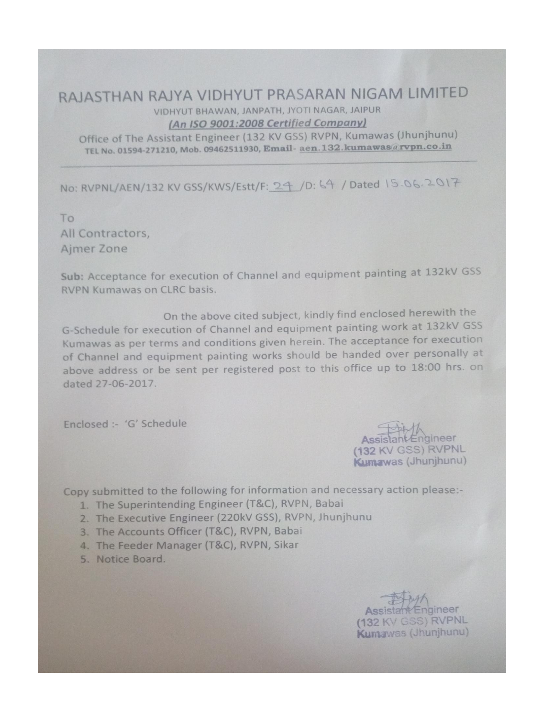## RAJASTHAN RAJYA VIDHYUT PRASARAN NIGAM LIMITED VIDHYUT BHAWAN, JANPATH, JYOTI NAGAR, JAIPUR (An ISO 9001:2008 Certified Company)

Office of The Assistant Engineer (132 KV GSS) RVPN, Kumawas (Jhunjhunu) TEL No. 01594-271210, Mob. 09462511930, Email-aen. 132. kumawas@rvpn.co.in

No: RVPNL/AEN/132 KV GSS/KWS/Estt/F: 24 /D: 64 / Dated 15.06.2017

To All Contractors, Ajmer Zone

Sub: Acceptance for execution of Channel and equipment painting at 132kV GSS RVPN Kumawas on CLRC basis.

On the above cited subject, kindly find enclosed herewith the G-Schedule for execution of Channel and equipment painting work at 132kV GSS Kumawas as per terms and conditions given herein. The acceptance for execution of Channel and equipment painting works should be handed over personally at above address or be sent per registered post to this office up to 18:00 hrs. on dated 27-06-2017.

Enclosed :- 'G' Schedule

sistant Engineer (132 KV GSS) RVPNL **Kumawas (Jhunjhunu)** 

Copy submitted to the following for information and necessary action please:-

- 1. The Superintending Engineer (T&C), RVPN, Babai
- 2. The Executive Engineer (220kV GSS), RVPN, Jhunjhunu
- 3. The Accounts Officer (T&C), RVPN, Babai
- 4. The Feeder Manager (T&C), RVPN, Sikar
- 5. Notice Board.

Assistant Engineer (132 KV GSS) RVPNL Kumawas (Jhunjhunu)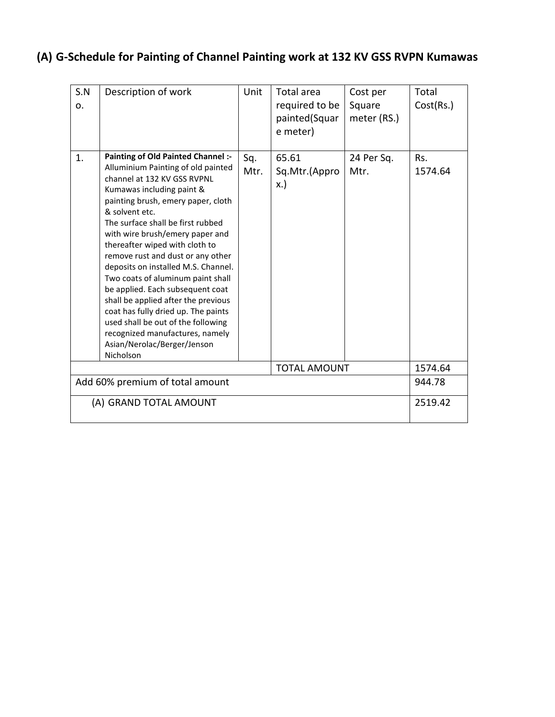## **(A) G-Schedule for Painting of Channel Painting work at 132 KV GSS RVPN Kumawas**

| S.N<br>0.                       | Description of work                                                                                                                                                                                                                                                                                                                                                                                                                                                                                                                                                                                                                                            | Unit        | Total area<br>required to be<br>painted(Squar<br>e meter) | Cost per<br>Square<br>meter (RS.) | Total<br>Cost(Rs.) |  |  |
|---------------------------------|----------------------------------------------------------------------------------------------------------------------------------------------------------------------------------------------------------------------------------------------------------------------------------------------------------------------------------------------------------------------------------------------------------------------------------------------------------------------------------------------------------------------------------------------------------------------------------------------------------------------------------------------------------------|-------------|-----------------------------------------------------------|-----------------------------------|--------------------|--|--|
| 1.                              | Painting of Old Painted Channel :-<br>Alluminium Painting of old painted<br>channel at 132 KV GSS RVPNL<br>Kumawas including paint &<br>painting brush, emery paper, cloth<br>& solvent etc.<br>The surface shall be first rubbed<br>with wire brush/emery paper and<br>thereafter wiped with cloth to<br>remove rust and dust or any other<br>deposits on installed M.S. Channel.<br>Two coats of aluminum paint shall<br>be applied. Each subsequent coat<br>shall be applied after the previous<br>coat has fully dried up. The paints<br>used shall be out of the following<br>recognized manufactures, namely<br>Asian/Nerolac/Berger/Jenson<br>Nicholson | Sq.<br>Mtr. | 65.61<br>Sq.Mtr.(Appro<br>x.)                             | 24 Per Sq.<br>Mtr.                | Rs.<br>1574.64     |  |  |
|                                 | 1574.64                                                                                                                                                                                                                                                                                                                                                                                                                                                                                                                                                                                                                                                        |             |                                                           |                                   |                    |  |  |
| Add 60% premium of total amount |                                                                                                                                                                                                                                                                                                                                                                                                                                                                                                                                                                                                                                                                |             |                                                           |                                   |                    |  |  |
| (A) GRAND TOTAL AMOUNT          |                                                                                                                                                                                                                                                                                                                                                                                                                                                                                                                                                                                                                                                                |             |                                                           |                                   |                    |  |  |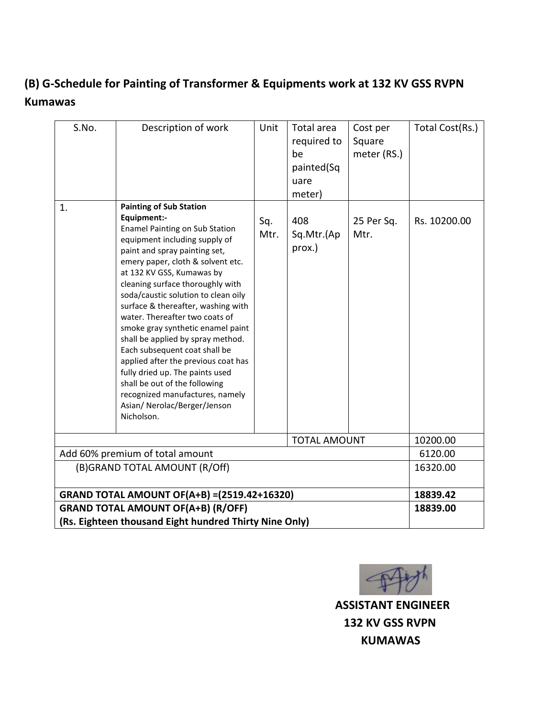## **(B) G-Schedule for Painting of Transformer & Equipments work at 132 KV GSS RVPN Kumawas**

| S.No.                                                  | Description of work                                                                                                                                                                                                                                                                                                                                                                                                                                                                                                                                                                                                                                                                         | Unit        | Total area<br>required to<br>be<br>painted(Sq<br>uare<br>meter) | Cost per<br>Square<br>meter (RS.) | Total Cost(Rs.) |
|--------------------------------------------------------|---------------------------------------------------------------------------------------------------------------------------------------------------------------------------------------------------------------------------------------------------------------------------------------------------------------------------------------------------------------------------------------------------------------------------------------------------------------------------------------------------------------------------------------------------------------------------------------------------------------------------------------------------------------------------------------------|-------------|-----------------------------------------------------------------|-----------------------------------|-----------------|
| 1.                                                     | <b>Painting of Sub Station</b><br><b>Equipment:-</b><br><b>Enamel Painting on Sub Station</b><br>equipment including supply of<br>paint and spray painting set,<br>emery paper, cloth & solvent etc.<br>at 132 KV GSS, Kumawas by<br>cleaning surface thoroughly with<br>soda/caustic solution to clean oily<br>surface & thereafter, washing with<br>water. Thereafter two coats of<br>smoke gray synthetic enamel paint<br>shall be applied by spray method.<br>Each subsequent coat shall be<br>applied after the previous coat has<br>fully dried up. The paints used<br>shall be out of the following<br>recognized manufactures, namely<br>Asian/ Nerolac/Berger/Jenson<br>Nicholson. | Sq.<br>Mtr. | 408<br>Sq.Mtr.(Ap<br>prox.)                                     | 25 Per Sq.<br>Mtr.                | Rs. 10200.00    |
|                                                        | 10200.00                                                                                                                                                                                                                                                                                                                                                                                                                                                                                                                                                                                                                                                                                    |             |                                                                 |                                   |                 |
| Add 60% premium of total amount                        | 6120.00                                                                                                                                                                                                                                                                                                                                                                                                                                                                                                                                                                                                                                                                                     |             |                                                                 |                                   |                 |
| (B)GRAND TOTAL AMOUNT (R/Off)                          | 16320.00                                                                                                                                                                                                                                                                                                                                                                                                                                                                                                                                                                                                                                                                                    |             |                                                                 |                                   |                 |
| <b>GRAND TOTAL AMOUNT OF(A+B) =(2519.42+16320)</b>     | 18839.42                                                                                                                                                                                                                                                                                                                                                                                                                                                                                                                                                                                                                                                                                    |             |                                                                 |                                   |                 |
| <b>GRAND TOTAL AMOUNT OF(A+B) (R/OFF)</b>              | 18839.00                                                                                                                                                                                                                                                                                                                                                                                                                                                                                                                                                                                                                                                                                    |             |                                                                 |                                   |                 |
| (Rs. Eighteen thousand Eight hundred Thirty Nine Only) |                                                                                                                                                                                                                                                                                                                                                                                                                                                                                                                                                                                                                                                                                             |             |                                                                 |                                   |                 |